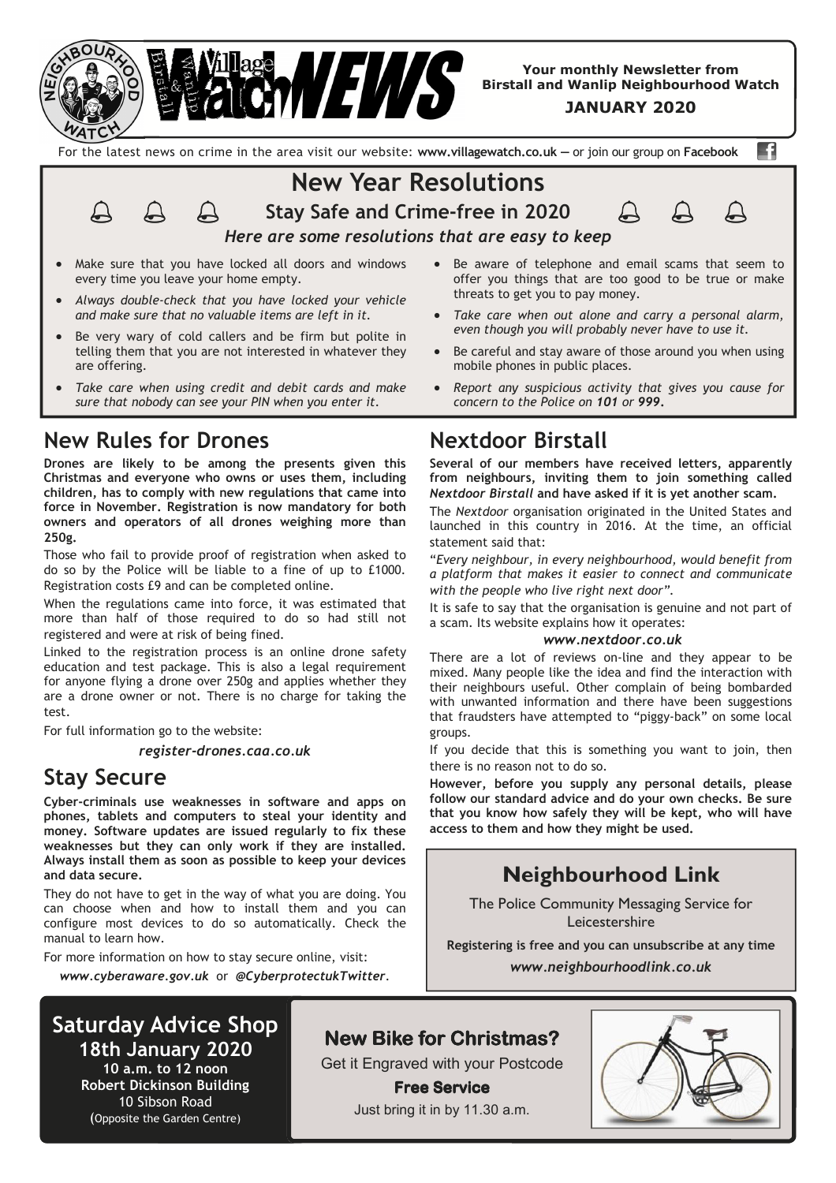

**Your monthly Newsletter from Birstall and Wanlip Neighbourhood Watch** 

**JANUARY 2020**

For the latest news on crime in the area visit our website: **www.villagewatch.co.uk —** or join our group on **Facebook** 

n

**New Year Resolutions Stay Safe and Crime-free in 2020** 



*Here are some resolutions that are easy to keep*

Make sure that you have locked all doors and windows every time you leave your home empty.

 $\mathfrak{Q}$ 

- *Always double-check that you have locked your vehicle and make sure that no valuable items are left in it.*
- Be very wary of cold callers and be firm but polite in telling them that you are not interested in whatever they are offering.
- *Take care when using credit and debit cards and make sure that nobody can see your PIN when you enter it.*

### **New Rules for Drones**

**Drones are likely to be among the presents given this Christmas and everyone who owns or uses them, including children, has to comply with new regulations that came into force in November. Registration is now mandatory for both owners and operators of all drones weighing more than 250g.** 

Those who fail to provide proof of registration when asked to do so by the Police will be liable to a fine of up to £1000. Registration costs £9 and can be completed online.

When the regulations came into force, it was estimated that more than half of those required to do so had still not registered and were at risk of being fined.

Linked to the registration process is an online drone safety education and test package. This is also a legal requirement for anyone flying a drone over 250g and applies whether they are a drone owner or not. There is no charge for taking the test.

For full information go to the website:

*register-drones.caa.co.uk*

# **Stay Secure**

**Cyber-criminals use weaknesses in software and apps on phones, tablets and computers to steal your identity and money. Software updates are issued regularly to fix these weaknesses but they can only work if they are installed. Always install them as soon as possible to keep your devices and data secure.** 

They do not have to get in the way of what you are doing. You can choose when and how to install them and you can configure most devices to do so automatically. Check the manual to learn how.

For more information on how to stay secure online, visit:

*www.cyberaware.gov.uk* or *@CyberprotectukTwitter*.

# **Saturday Advice Shop**

**18th January 2020 10 a.m. to 12 noon Robert Dickinson Building**  10 Sibson Road (Opposite the Garden Centre)

# **New Bike for Christmas?**

Get it Engraved with your Postcode

**Free Service** Just bring it in by 11.30 a.m.

- Be aware of telephone and email scams that seem to offer you things that are too good to be true or make threats to get you to pay money.
- *Take care when out alone and carry a personal alarm, even though you will probably never have to use it.*
- Be careful and stay aware of those around you when using mobile phones in public places.
- *Report any suspicious activity that gives you cause for concern to the Police on 101 or 999***.**

# **Nextdoor Birstall**

**Several of our members have received letters, apparently from neighbours, inviting them to join something called**  *Nextdoor Birstall* **and have asked if it is yet another scam.** 

The *Nextdoor* organisation originated in the United States and launched in this country in 2016. At the time, an official statement said that:

"*Every neighbour, in every neighbourhood, would benefit from a platform that makes it easier to connect and communicate with the people who live right next door".*

It is safe to say that the organisation is genuine and not part of a scam. Its website explains how it operates:

#### *www.nextdoor.co.uk*

There are a lot of reviews on-line and they appear to be mixed. Many people like the idea and find the interaction with their neighbours useful. Other complain of being bombarded with unwanted information and there have been suggestions that fraudsters have attempted to "piggy-back" on some local groups.

If you decide that this is something you want to join, then there is no reason not to do so.

**However, before you supply any personal details, please follow our standard advice and do your own checks. Be sure that you know how safely they will be kept, who will have access to them and how they might be used.**

# **Neighbourhood Link**

The Police Community Messaging Service for Leicestershire

**Registering is free and you can unsubscribe at any time** 

*www.neighbourhoodlink.co.uk*